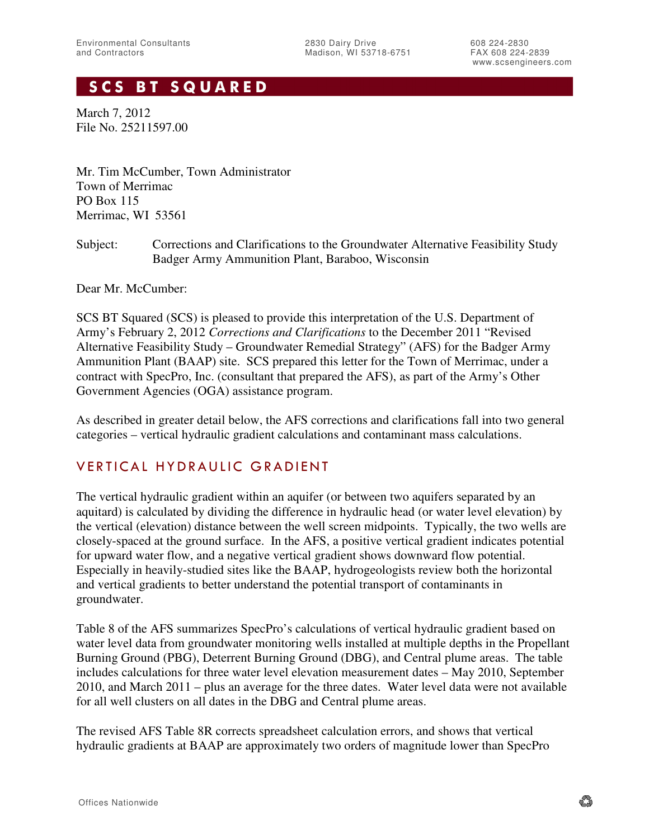## **SCS BT SQUARED**

March 7, 2012 File No. 25211597.00

Mr. Tim McCumber, Town Administrator Town of Merrimac PO Box 115 Merrimac, WI 53561

Subject: Corrections and Clarifications to the Groundwater Alternative Feasibility Study Badger Army Ammunition Plant, Baraboo, Wisconsin

Dear Mr. McCumber:

SCS BT Squared (SCS) is pleased to provide this interpretation of the U.S. Department of Army's February 2, 2012 *Corrections and Clarifications* to the December 2011 "Revised Alternative Feasibility Study – Groundwater Remedial Strategy" (AFS) for the Badger Army Ammunition Plant (BAAP) site. SCS prepared this letter for the Town of Merrimac, under a contract with SpecPro, Inc. (consultant that prepared the AFS), as part of the Army's Other Government Agencies (OGA) assistance program.

As described in greater detail below, the AFS corrections and clarifications fall into two general categories – vertical hydraulic gradient calculations and contaminant mass calculations.

## VERTICAL HYDRAULIC GRADIENT

The vertical hydraulic gradient within an aquifer (or between two aquifers separated by an aquitard) is calculated by dividing the difference in hydraulic head (or water level elevation) by the vertical (elevation) distance between the well screen midpoints. Typically, the two wells are closely-spaced at the ground surface. In the AFS, a positive vertical gradient indicates potential for upward water flow, and a negative vertical gradient shows downward flow potential. Especially in heavily-studied sites like the BAAP, hydrogeologists review both the horizontal and vertical gradients to better understand the potential transport of contaminants in groundwater.

Table 8 of the AFS summarizes SpecPro's calculations of vertical hydraulic gradient based on water level data from groundwater monitoring wells installed at multiple depths in the Propellant Burning Ground (PBG), Deterrent Burning Ground (DBG), and Central plume areas. The table includes calculations for three water level elevation measurement dates – May 2010, September 2010, and March 2011 – plus an average for the three dates. Water level data were not available for all well clusters on all dates in the DBG and Central plume areas.

The revised AFS Table 8R corrects spreadsheet calculation errors, and shows that vertical hydraulic gradients at BAAP are approximately two orders of magnitude lower than SpecPro